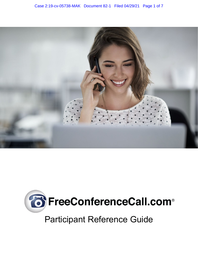



# Participant Reference Guide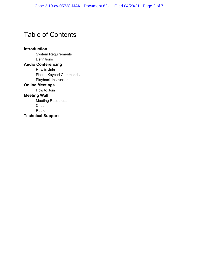## Table of Contents

#### **Introduction**

System Requirements **Definitions** 

#### **Audio Conferencing**

How to Join Phone Keypad Commands Playback Instructions

#### **Online Meetings**

How to Join

#### **Meeting Wall**

Meeting Resources Chat Radio **Technical Support**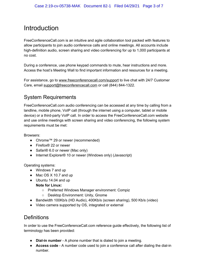### Introduction

FreeConferenceCall.com is an intuitive and agile collaboration tool packed with features to allow participants to join audio conference calls and online meetings. All accounts include high-definition audio, screen sharing and video conferencing for up to 1,000 participants at no cost.

During a conference, use phone keypad commands to mute, hear instructions and more. Access the host's Meeting Wall to find important information and resources for a meeting.

For assistance, go to [www.freeconferencecall.com/support](http://www.freeconferencecall.com/support) to live chat with 24/7 Customer Care, email [support@freeconferencecall.com](mailto:support@startmeeting.com) or call (844) 844-1322.

### System Requirements

FreeConferenceCall.com audio conferencing can be accessed at any time by calling from a landline, mobile phone, VoIP call (through the internet using a computer, tablet or mobile device) or a third-party VoIP call. In order to access the FreeConferenceCall.com website and use online meetings with screen sharing and video conferencing, the following system requirements must be met:

Browsers:

- Chrome™ 29 or newer (recommended)
- Firefox<sup>®</sup> 22 or newer
- Safari® 6.0 or newer (Mac only)
- Internet Explorer® 10 or newer (Windows only) (Javascript)

Operating systems:

- Windows 7 and up
- Mac OS X 10.7 and up
- Ubuntu 14.04 and up
	- **Note for Linux:**
		- Preferred Windows Manager environment: Compiz
		- Desktop Environment: Unity, Gnome
- Bandwidth 100Kb/s (HD Audio), 400Kb/s (screen sharing), 500 Kb/s (video)
- Video camera supported by OS, integrated or external

#### **Definitions**

In order to use the FreeConferenceCall.com reference guide effectively, the following list of terminology has been provided:

- **Dial-in number** A phone number that is dialed to join a meeting.
- **Access code** A number code used to join a conference call after dialing the dial-in number.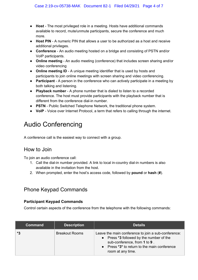- **Host** The most privileged role in a meeting. Hosts have additional commands available to record, mute/unmute participants, secure the conference and much more.
- **Host PIN** A numeric PIN that allows a user to be authorized as a host and receive additional privileges.
- **Conference** An audio meeting hosted on a bridge and consisting of PSTN and/or VoIP participants.
- **Online meeting** An audio meeting (conference) that includes screen sharing and/or video conferencing
- **Online meeting ID** A unique meeting identifier that is used by hosts and participants to join online meetings with screen sharing and video conferencing.
- **Participant** A person in the conference who can actively participate in a meeting by both talking and listening.
- **Playback number** A phone number that is dialed to listen to a recorded conference. The host must provide participants with the playback number that is different from the conference dial-in number.
- **PSTN** Public Switched Telephone Network, the traditional phone system.
- **VoIP** Voice over Internet Protocol, a term that refers to calling through the internet.

## Audio Conferencing

A conference call is the easiest way to connect with a group.

### How to Join

To join an audio conference call:

- 1. Call the dial-in number provided. A link to local in-country dial-in numbers is also available in the invitation from the host.
- 2. When prompted, enter the host's access code, followed by **pound** or **hash** (**#**).

### Phone Keypad Commands

#### **Participant Keypad Commands**

Control certain aspects of the conference from the telephone with the following commands:

| <b>Command</b> | <b>Description</b>    | <b>Details</b>                                                                                                                                                                                       |
|----------------|-----------------------|------------------------------------------------------------------------------------------------------------------------------------------------------------------------------------------------------|
| *3             | <b>Breakout Rooms</b> | Leave the main conference to join a sub-conference:<br>• Press *3 followed by the number of the<br>sub-conference, from 1 to 9.<br>• Press *3* to return to the main conference<br>room at any time. |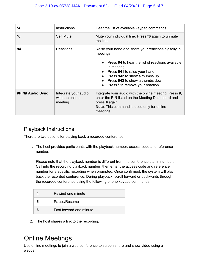| *4                      | <b>Instructions</b>                                | Hear the list of available keypad commands.                                                                                                                                                                                                                                                     |
|-------------------------|----------------------------------------------------|-------------------------------------------------------------------------------------------------------------------------------------------------------------------------------------------------------------------------------------------------------------------------------------------------|
| $*6$                    | <b>Self Mute</b>                                   | Mute your individual line. Press *6 again to unmute<br>the line.                                                                                                                                                                                                                                |
| 94                      | <b>Reactions</b>                                   | Raise your hand and share your reactions digitally in<br>meetings.<br>Press 94 to hear the list of reactions available<br>in meeting.<br>Press 941 to raise your hand.<br>• Press 942 to show a thumbs up.<br>Press 943 to show a thumbs down.<br>Press * to remove your reaction.<br>$\bullet$ |
| <b>#PIN# Audio Sync</b> | Integrate your audio<br>with the online<br>meeting | Integrate your audio with the online meeting. Press #,<br>enter the PIN listed on the Meeting Dashboard and<br>press # again.<br><b>Note:</b> This command is used only for online<br>meetings.                                                                                                 |

### Playback Instructions

There are two options for playing back a recorded conference.

1. The host provides participants with the playback number, access code and reference number.

Please note that the playback number is different from the conference dial-in number. Call into the recording playback number, then enter the access code and reference number for a specific recording when prompted. Once confirmed, the system will play back the recorded conference. During playback, scroll forward or backwards through the recorded conference using the following phone keypad commands:

| Rewind one minute       |
|-------------------------|
| Pause/Resume            |
| Fast forward one minute |

2. The host shares a link to the recording.

## Online Meetings

Use online meetings to join a web conference to screen share and show video using a webcam.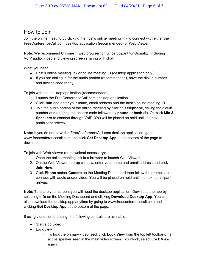#### How to Join

Join the online meeting by clicking the host's online meeting link to connect with either the FreeConferenceCall.com desktop application (recommended) or Web Viewer.

**Note:** We recommend Chrome™ web browser for full participant functionality, including VoIP audio, video and viewing screen sharing with chat.

What you need:

- Host's online meeting link or online meeting ID (desktop application only)
- If you are dialing in for the audio portion (recommended), have the dial-in number and access code ready

To join with the desktop application (recommended):

- 1. Launch the FreeConferenceCall.com desktop application.
- 2. Click **Join** and enter your name, email address and the host's online meeting ID.
- 3. Join the audio portion of the online meeting by clicking **Telephone**, calling the dial-in number and entering the access code followed by **pound** or **hash** (**#**). Or, click **Mic & Speakers** to connect through VoIP. You will be placed on hold until the next participant arrives.

**Note:** If you do not have the FreeConferenceCall.com desktop application, go to www.freeconferencecall.com and click **Get Desktop App** at the bottom of the page to download.

To join with Web Viewer (no download necessary):

- 1. Open the online meeting link in a browser to launch Web Viewer.
- 2. On the Web Viewer pop-up window, enter your name and email address and click **Join Now**.
- 3. Click **Phone** and/or **Camera** on the Meeting Dashboard then follow the prompts to connect with audio and/or video. You will be placed on hold until the next participant arrives.

**Note:** To share your screen, you will need the desktop application. Download the app by selecting **Info** on the Meeting Dashboard and clicking **Download Desktop App**. You can also download the desktop app anytime by going to www.freeconferencecall.com and clicking **Get Desktop App** at the bottom of the page.

If using video conferencing, the following controls are available:

- Start/stop video
- Lock view
	- To lock the primary video feed, click **Lock View** from the top left toolbar on an active speaker seen in the main video screen. To unlock, select **Lock View** again.